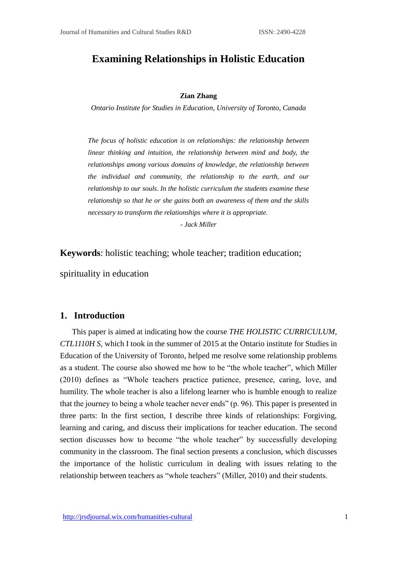# **Examining Relationships in Holistic Education**

#### **Zian Zhang**

*Ontario Institute for Studies in Education, University of Toronto, Canada*

*The focus of holistic education is on relationships: the relationship between linear thinking and intuition, the relationship between mind and body, the relationships among various domains of knowledge, the relationship between the individual and community, the relationship to the earth, and our relationship to our souls. In the holistic curriculum the students examine these relationship so that he or she gains both an awareness of them and the skills necessary to transform the relationships where it is appropriate.*

*- Jack Miller*

**Keywords**: holistic teaching; whole teacher; tradition education;

spirituality in education

### **1. Introduction**

This paper is aimed at indicating how the course *THE HOLISTIC CURRICULUM, CTL1110H S,* which I took in the summer of 2015 at the Ontario institute for Studies in Education of the University of Toronto, helped me resolve some relationship problems as a student. The course also showed me how to be "the whole teacher", which Miller (2010) defines as "Whole teachers practice patience, presence, caring, love, and humility. The whole teacher is also a lifelong learner who is humble enough to realize that the journey to being a whole teacher never ends" (p. 96). This paper is presented in three parts: In the first section, I describe three kinds of relationships: Forgiving, learning and caring, and discuss their implications for teacher education. The second section discusses how to become "the whole teacher" by successfully developing community in the classroom. The final section presents a conclusion, which discusses the importance of the holistic curriculum in dealing with issues relating to the relationship between teachers as "whole teachers" (Miller, 2010) and their students.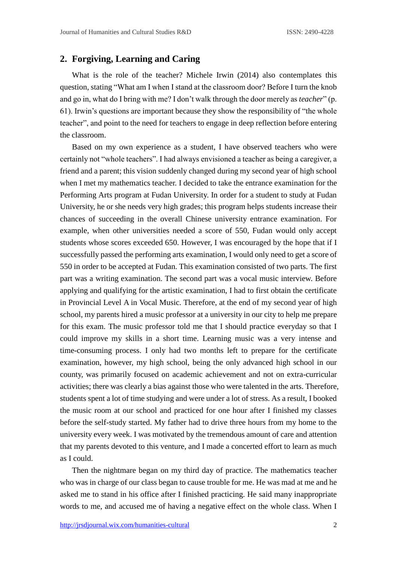## **2. Forgiving, Learning and Caring**

What is the role of the teacher? Michele Irwin (2014) also contemplates this question, stating "What am I when I stand at the classroom door? Before I turn the knob and go in, what do I bring with me? I don't walk through the door merely as *teacher*" (p. 61). Irwin's questions are important because they show the responsibility of "the whole teacher", and point to the need for teachers to engage in deep reflection before entering the classroom.

Based on my own experience as a student, I have observed teachers who were certainly not "whole teachers". I had always envisioned a teacher as being a caregiver, a friend and a parent; this vision suddenly changed during my second year of high school when I met my mathematics teacher. I decided to take the entrance examination for the Performing Arts program at Fudan University. In order for a student to study at Fudan University, he or she needs very high grades; this program helps students increase their chances of succeeding in the overall Chinese university entrance examination. For example, when other universities needed a score of 550, Fudan would only accept students whose scores exceeded 650. However, I was encouraged by the hope that if I successfully passed the performing arts examination, I would only need to get a score of 550 in order to be accepted at Fudan. This examination consisted of two parts. The first part was a writing examination. The second part was a vocal music interview. Before applying and qualifying for the artistic examination, I had to first obtain the certificate in Provincial Level A in Vocal Music. Therefore, at the end of my second year of high school, my parents hired a music professor at a university in our city to help me prepare for this exam. The music professor told me that I should practice everyday so that I could improve my skills in a short time. Learning music was a very intense and time-consuming process. I only had two months left to prepare for the certificate examination, however, my high school, being the only advanced high school in our county, was primarily focused on academic achievement and not on extra-curricular activities; there was clearly a bias against those who were talented in the arts. Therefore, students spent a lot of time studying and were under a lot of stress. As a result, I booked the music room at our school and practiced for one hour after I finished my classes before the self-study started. My father had to drive three hours from my home to the university every week. I was motivated by the tremendous amount of care and attention that my parents devoted to this venture, and I made a concerted effort to learn as much as I could.

Then the nightmare began on my third day of practice. The mathematics teacher who was in charge of our class began to cause trouble for me. He was mad at me and he asked me to stand in his office after I finished practicing. He said many inappropriate words to me, and accused me of having a negative effect on the whole class. When I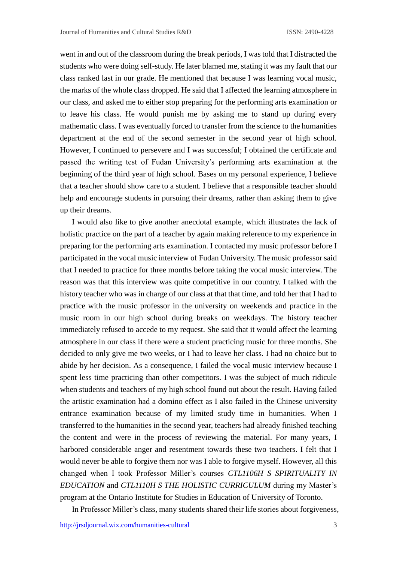went in and out of the classroom during the break periods, I was told that I distracted the students who were doing self-study. He later blamed me, stating it was my fault that our class ranked last in our grade. He mentioned that because I was learning vocal music, the marks of the whole class dropped. He said that I affected the learning atmosphere in our class, and asked me to either stop preparing for the performing arts examination or to leave his class. He would punish me by asking me to stand up during every mathematic class. I was eventually forced to transfer from the science to the humanities department at the end of the second semester in the second year of high school. However, I continued to persevere and I was successful; I obtained the certificate and passed the writing test of Fudan University's performing arts examination at the beginning of the third year of high school. Bases on my personal experience, I believe that a teacher should show care to a student. I believe that a responsible teacher should help and encourage students in pursuing their dreams, rather than asking them to give up their dreams.

I would also like to give another anecdotal example, which illustrates the lack of holistic practice on the part of a teacher by again making reference to my experience in preparing for the performing arts examination. I contacted my music professor before I participated in the vocal music interview of Fudan University. The music professor said that I needed to practice for three months before taking the vocal music interview. The reason was that this interview was quite competitive in our country. I talked with the history teacher who was in charge of our class at that that time, and told her that I had to practice with the music professor in the university on weekends and practice in the music room in our high school during breaks on weekdays. The history teacher immediately refused to accede to my request. She said that it would affect the learning atmosphere in our class if there were a student practicing music for three months. She decided to only give me two weeks, or I had to leave her class. I had no choice but to abide by her decision. As a consequence, I failed the vocal music interview because I spent less time practicing than other competitors. I was the subject of much ridicule when students and teachers of my high school found out about the result. Having failed the artistic examination had a domino effect as I also failed in the Chinese university entrance examination because of my limited study time in humanities. When I transferred to the humanities in the second year, teachers had already finished teaching the content and were in the process of reviewing the material. For many years, I harbored considerable anger and resentment towards these two teachers. I felt that I would never be able to forgive them nor was I able to forgive myself. However, all this changed when I took Professor Miller's courses *CTL1106H S SPIRITUALITY IN EDUCATION* and *CTL1110H S THE HOLISTIC CURRICULUM* during my Master's program at the Ontario Institute for Studies in Education of University of Toronto.

In Professor Miller's class, many students shared their life stories about forgiveness,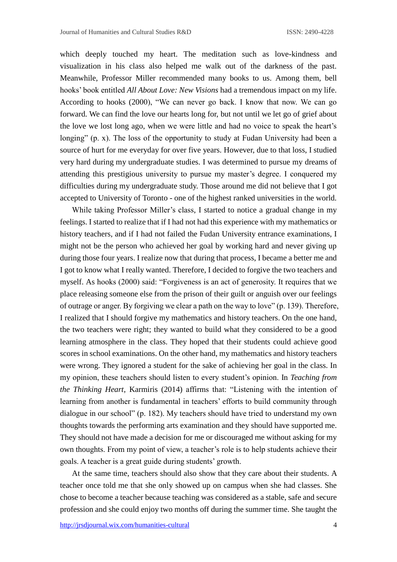which deeply touched my heart. The meditation such as love-kindness and visualization in his class also helped me walk out of the darkness of the past. Meanwhile, Professor Miller recommended many books to us. Among them, bell hooks' book entitled *All About Love: New Visions* had a tremendous impact on my life. According to hooks (2000), "We can never go back. I know that now. We can go forward. We can find the love our hearts long for, but not until we let go of grief about the love we lost long ago, when we were little and had no voice to speak the heart's longing" (p. x). The loss of the opportunity to study at Fudan University had been a source of hurt for me everyday for over five years. However, due to that loss, I studied very hard during my undergraduate studies. I was determined to pursue my dreams of attending this prestigious university to pursue my master's degree. I conquered my difficulties during my undergraduate study. Those around me did not believe that I got accepted to University of Toronto - one of the highest ranked universities in the world.

While taking Professor Miller's class, I started to notice a gradual change in my feelings. I started to realize that if I had not had this experience with my mathematics or history teachers, and if I had not failed the Fudan University entrance examinations, I might not be the person who achieved her goal by working hard and never giving up during those four years. I realize now that during that process, I became a better me and I got to know what I really wanted. Therefore, I decided to forgive the two teachers and myself. As hooks (2000) said: "Forgiveness is an act of generosity. It requires that we place releasing someone else from the prison of their guilt or anguish over our feelings of outrage or anger. By forgiving we clear a path on the way to love" (p. 139). Therefore, I realized that I should forgive my mathematics and history teachers. On the one hand, the two teachers were right; they wanted to build what they considered to be a good learning atmosphere in the class. They hoped that their students could achieve good scores in school examinations. On the other hand, my mathematics and history teachers were wrong. They ignored a student for the sake of achieving her goal in the class. In my opinion, these teachers should listen to every student's opinion. In *Teaching from the Thinking Heart*, Karmiris (2014) affirms that: "Listening with the intention of learning from another is fundamental in teachers' efforts to build community through dialogue in our school" (p. 182). My teachers should have tried to understand my own thoughts towards the performing arts examination and they should have supported me. They should not have made a decision for me or discouraged me without asking for my own thoughts. From my point of view, a teacher's role is to help students achieve their goals. A teacher is a great guide during students' growth.

At the same time, teachers should also show that they care about their students. A teacher once told me that she only showed up on campus when she had classes. She chose to become a teacher because teaching was considered as a stable, safe and secure profession and she could enjoy two months off during the summer time. She taught the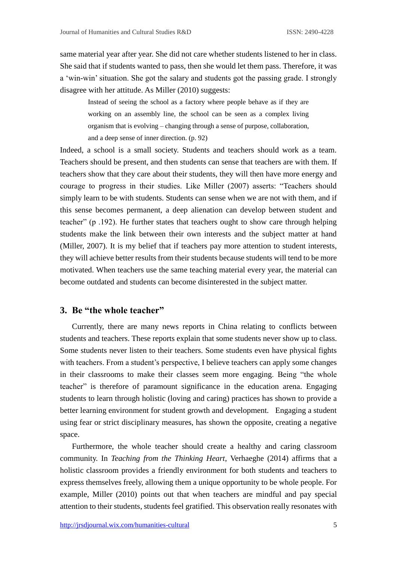same material year after year. She did not care whether students listened to her in class. She said that if students wanted to pass, then she would let them pass. Therefore, it was a 'win-win' situation. She got the salary and students got the passing grade. I strongly disagree with her attitude. As Miller (2010) suggests:

> Instead of seeing the school as a factory where people behave as if they are working on an assembly line, the school can be seen as a complex living organism that is evolving – changing through a sense of purpose, collaboration, and a deep sense of inner direction. (p. 92)

Indeed, a school is a small society. Students and teachers should work as a team. Teachers should be present, and then students can sense that teachers are with them. If teachers show that they care about their students, they will then have more energy and courage to progress in their studies. Like Miller (2007) asserts: "Teachers should simply learn to be with students. Students can sense when we are not with them, and if this sense becomes permanent, a deep alienation can develop between student and teacher" (p .192). He further states that teachers ought to show care through helping students make the link between their own interests and the subject matter at hand (Miller, 2007). It is my belief that if teachers pay more attention to student interests, they will achieve better results from their students because students will tend to be more motivated. When teachers use the same teaching material every year, the material can become outdated and students can become disinterested in the subject matter.

### **3. Be "the whole teacher"**

Currently, there are many news reports in China relating to conflicts between students and teachers. These reports explain that some students never show up to class. Some students never listen to their teachers. Some students even have physical fights with teachers. From a student's perspective, I believe teachers can apply some changes in their classrooms to make their classes seem more engaging. Being "the whole teacher" is therefore of paramount significance in the education arena. Engaging students to learn through holistic (loving and caring) practices has shown to provide a better learning environment for student growth and development. Engaging a student using fear or strict disciplinary measures, has shown the opposite, creating a negative space.

Furthermore, the whole teacher should create a healthy and caring classroom community. In *Teaching from the Thinking Heart*, Verhaeghe (2014) affirms that a holistic classroom provides a friendly environment for both students and teachers to express themselves freely, allowing them a unique opportunity to be whole people. For example, Miller (2010) points out that when teachers are mindful and pay special attention to their students, students feel gratified. This observation really resonates with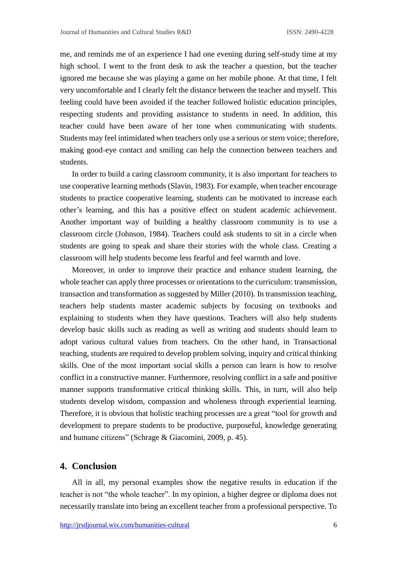me, and reminds me of an experience I had one evening during self-study time at my high school. I went to the front desk to ask the teacher a question, but the teacher ignored me because she was playing a game on her mobile phone. At that time, I felt very uncomfortable and I clearly felt the distance between the teacher and myself. This feeling could have been avoided if the teacher followed holistic education principles, respecting students and providing assistance to students in need. In addition, this teacher could have been aware of her tone when communicating with students. Students may feel intimidated when teachers only use a serious or stern voice; therefore, making good eye contact and smiling can help the connection between teachers and students.

In order to build a caring classroom community, it is also important for teachers to use cooperative learning methods (Slavin, 1983). For example, when teacher encourage students to practice cooperative learning, students can be motivated to increase each other's learning, and this has a positive effect on student academic achievement. Another important way of building a healthy classroom community is to use a classroom circle (Johnson, 1984). Teachers could ask students to sit in a circle when students are going to speak and share their stories with the whole class. Creating a classroom will help students become less fearful and feel warmth and love.

Moreover, in order to improve their practice and enhance student learning, the whole teacher can apply three processes or orientations to the curriculum: transmission, transaction and transformation as suggested by Miller (2010). In transmission teaching, teachers help students master academic subjects by focusing on textbooks and explaining to students when they have questions. Teachers will also help students develop basic skills such as reading as well as writing and students should learn to adopt various cultural values from teachers. On the other hand, in Transactional teaching, students are required to develop problem solving, inquiry and critical thinking skills. One of the most important social skills a person can learn is how to resolve conflict in a constructive manner. Furthermore, resolving conflict in a safe and positive manner supports transformative critical thinking skills. This, in turn, will also help students develop wisdom, compassion and wholeness through experiential learning. Therefore, it is obvious that holistic teaching processes are a great "tool for growth and development to prepare students to be productive, purposeful, knowledge generating and humane citizens" (Schrage & Giacomini, 2009, p. 45).

### **4. Conclusion**

All in all, my personal examples show the negative results in education if the teacher is not "the whole teacher". In my opinion, a higher degree or diploma does not necessarily translate into being an excellent teacher from a professional perspective. To